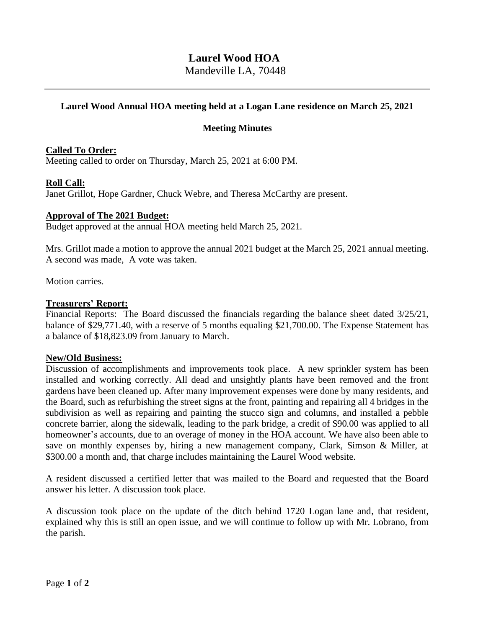# **Laurel Wood HOA**

Mandeville LA, 70448

# **Laurel Wood Annual HOA meeting held at a Logan Lane residence on March 25, 2021**

# **Meeting Minutes**

## **Called To Order:**

Meeting called to order on Thursday, March 25, 2021 at 6:00 PM.

## **Roll Call:**

Janet Grillot, Hope Gardner, Chuck Webre, and Theresa McCarthy are present.

#### **Approval of The 2021 Budget:**

Budget approved at the annual HOA meeting held March 25, 2021.

Mrs. Grillot made a motion to approve the annual 2021 budget at the March 25, 2021 annual meeting. A second was made, A vote was taken.

Motion carries.

## **Treasurers' Report:**

Financial Reports: The Board discussed the financials regarding the balance sheet dated 3/25/21, balance of \$29,771.40, with a reserve of 5 months equaling \$21,700.00. The Expense Statement has a balance of \$18,823.09 from January to March.

#### **New/Old Business:**

Discussion of accomplishments and improvements took place. A new sprinkler system has been installed and working correctly. All dead and unsightly plants have been removed and the front gardens have been cleaned up. After many improvement expenses were done by many residents, and the Board, such as refurbishing the street signs at the front, painting and repairing all 4 bridges in the subdivision as well as repairing and painting the stucco sign and columns, and installed a pebble concrete barrier, along the sidewalk, leading to the park bridge, a credit of \$90.00 was applied to all homeowner's accounts, due to an overage of money in the HOA account. We have also been able to save on monthly expenses by, hiring a new management company, Clark, Simson & Miller, at \$300.00 a month and, that charge includes maintaining the Laurel Wood website.

A resident discussed a certified letter that was mailed to the Board and requested that the Board answer his letter. A discussion took place.

A discussion took place on the update of the ditch behind 1720 Logan lane and, that resident, explained why this is still an open issue, and we will continue to follow up with Mr. Lobrano, from the parish.